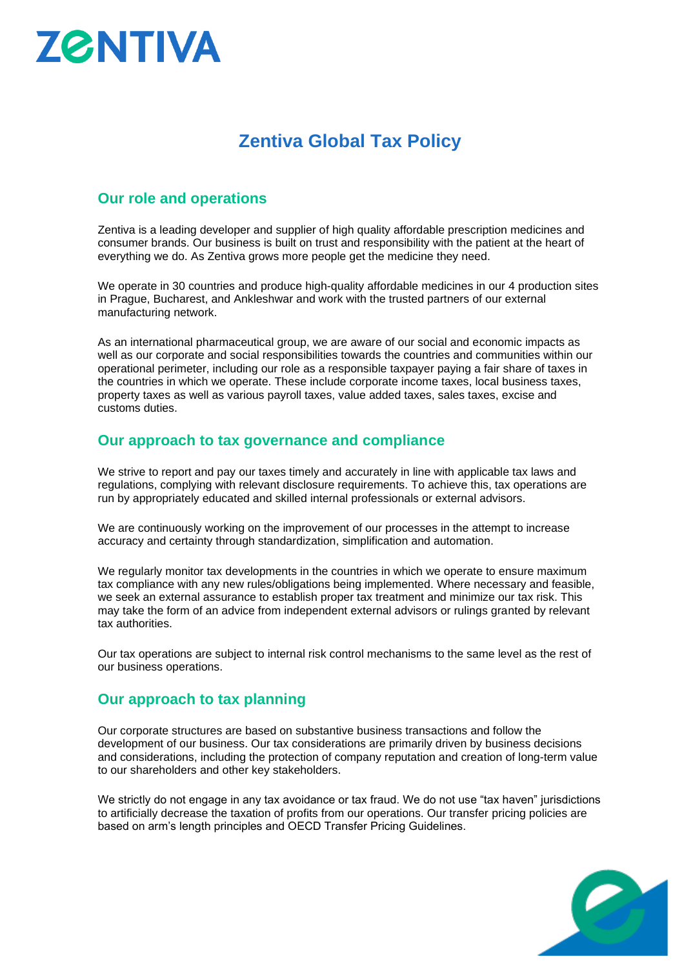# **ZØNTIVA**

## **Zentiva Global Tax Policy**

### **Our role and operations**

Zentiva is a leading developer and supplier of high quality affordable prescription medicines and consumer brands. Our business is built on trust and responsibility with the patient at the heart of everything we do. As Zentiva grows more people get the medicine they need.

We operate in 30 countries and produce high-quality affordable medicines in our 4 production sites in Prague, Bucharest, and Ankleshwar and work with the trusted partners of our external manufacturing network.

As an international pharmaceutical group, we are aware of our social and economic impacts as well as our corporate and social responsibilities towards the countries and communities within our operational perimeter, including our role as a responsible taxpayer paying a fair share of taxes in the countries in which we operate. These include corporate income taxes, local business taxes, property taxes as well as various payroll taxes, value added taxes, sales taxes, excise and customs duties.

#### **Our approach to tax governance and compliance**

We strive to report and pay our taxes timely and accurately in line with applicable tax laws and regulations, complying with relevant disclosure requirements. To achieve this, tax operations are run by appropriately educated and skilled internal professionals or external advisors.

We are continuously working on the improvement of our processes in the attempt to increase accuracy and certainty through standardization, simplification and automation.

We regularly monitor tax developments in the countries in which we operate to ensure maximum tax compliance with any new rules/obligations being implemented. Where necessary and feasible, we seek an external assurance to establish proper tax treatment and minimize our tax risk. This may take the form of an advice from independent external advisors or rulings granted by relevant tax authorities.

Our tax operations are subject to internal risk control mechanisms to the same level as the rest of our business operations.

#### **Our approach to tax planning**

Our corporate structures are based on substantive business transactions and follow the development of our business. Our tax considerations are primarily driven by business decisions and considerations, including the protection of company reputation and creation of long-term value to our shareholders and other key stakeholders.

We strictly do not engage in any tax avoidance or tax fraud. We do not use "tax haven" jurisdictions to artificially decrease the taxation of profits from our operations. Our transfer pricing policies are based on arm's length principles and OECD Transfer Pricing Guidelines.